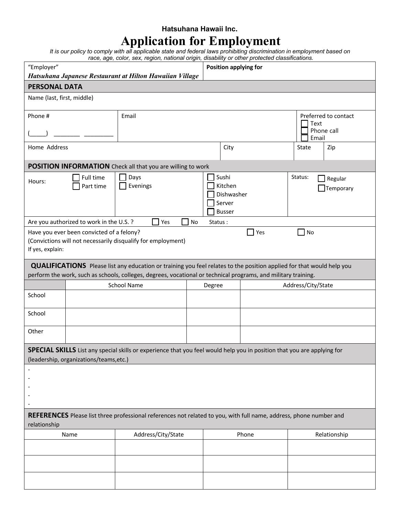## **Hatsuhana Hawaii Inc.**

## **Application for Employment**

*It is our policy to comply with all applicable state and federal laws prohibiting discrimination in employment based on race, age, color, sex, region, national origin, disability or other protected classifications.* 

| "Employer"<br>Hatsuhana Japanese Restaurant at Hilton Hawaiian Village                                                                                                                                                                         |                                           |                                                                                                                                |       | rabo, ago, bolor, box, rogion, national ongini, albability or othor protoctoa oldomodiloho.<br>Position applying for |               |              |           |                      |  |
|------------------------------------------------------------------------------------------------------------------------------------------------------------------------------------------------------------------------------------------------|-------------------------------------------|--------------------------------------------------------------------------------------------------------------------------------|-------|----------------------------------------------------------------------------------------------------------------------|---------------|--------------|-----------|----------------------|--|
| <b>PERSONAL DATA</b>                                                                                                                                                                                                                           |                                           |                                                                                                                                |       |                                                                                                                      |               |              |           |                      |  |
|                                                                                                                                                                                                                                                |                                           |                                                                                                                                |       |                                                                                                                      |               |              |           |                      |  |
| Name (last, first, middle)                                                                                                                                                                                                                     |                                           |                                                                                                                                |       |                                                                                                                      |               |              |           |                      |  |
| Phone #                                                                                                                                                                                                                                        |                                           | Email                                                                                                                          |       |                                                                                                                      |               |              |           | Preferred to contact |  |
|                                                                                                                                                                                                                                                |                                           |                                                                                                                                |       |                                                                                                                      |               |              | Text      | Phone call           |  |
|                                                                                                                                                                                                                                                |                                           |                                                                                                                                |       |                                                                                                                      |               |              | Email     |                      |  |
| Home Address                                                                                                                                                                                                                                   |                                           |                                                                                                                                |       | City                                                                                                                 |               |              | State     | Zip                  |  |
|                                                                                                                                                                                                                                                |                                           | POSITION INFORMATION Check all that you are willing to work                                                                    |       |                                                                                                                      |               |              |           |                      |  |
|                                                                                                                                                                                                                                                | Full time                                 | Days                                                                                                                           |       |                                                                                                                      | Sushi         |              | Status:   | Regular              |  |
| Hours:                                                                                                                                                                                                                                         | Part time                                 | Evenings                                                                                                                       |       |                                                                                                                      | Kitchen       |              | Temporary |                      |  |
|                                                                                                                                                                                                                                                |                                           |                                                                                                                                |       |                                                                                                                      | Dishwasher    |              |           |                      |  |
|                                                                                                                                                                                                                                                |                                           |                                                                                                                                |       |                                                                                                                      | Server        |              |           |                      |  |
|                                                                                                                                                                                                                                                |                                           |                                                                                                                                |       |                                                                                                                      | <b>Busser</b> |              |           |                      |  |
|                                                                                                                                                                                                                                                | Are you authorized to work in the U.S.?   | Yes                                                                                                                            | No    | Status:                                                                                                              |               |              |           |                      |  |
|                                                                                                                                                                                                                                                | Have you ever been convicted of a felony? |                                                                                                                                |       |                                                                                                                      |               | $\Box$ Yes   | No        |                      |  |
| If yes, explain:                                                                                                                                                                                                                               |                                           | (Convictions will not necessarily disqualify for employment)                                                                   |       |                                                                                                                      |               |              |           |                      |  |
|                                                                                                                                                                                                                                                |                                           |                                                                                                                                |       |                                                                                                                      |               |              |           |                      |  |
| <b>QUALIFICATIONS</b> Please list any education or training you feel relates to the position applied for that would help you<br>perform the work, such as schools, colleges, degrees, vocational or technical programs, and military training. |                                           |                                                                                                                                |       |                                                                                                                      |               |              |           |                      |  |
|                                                                                                                                                                                                                                                |                                           | School Name                                                                                                                    |       | Degree                                                                                                               |               |              |           | Address/City/State   |  |
| School                                                                                                                                                                                                                                         |                                           |                                                                                                                                |       |                                                                                                                      |               |              |           |                      |  |
| School                                                                                                                                                                                                                                         |                                           |                                                                                                                                |       |                                                                                                                      |               |              |           |                      |  |
| Other                                                                                                                                                                                                                                          |                                           |                                                                                                                                |       |                                                                                                                      |               |              |           |                      |  |
|                                                                                                                                                                                                                                                |                                           | <b>SPECIAL SKILLS</b> List any special skills or experience that you feel would help you in position that you are applying for |       |                                                                                                                      |               |              |           |                      |  |
| (leadership, organizations/teams,etc.)                                                                                                                                                                                                         |                                           |                                                                                                                                |       |                                                                                                                      |               |              |           |                      |  |
|                                                                                                                                                                                                                                                |                                           |                                                                                                                                |       |                                                                                                                      |               |              |           |                      |  |
|                                                                                                                                                                                                                                                |                                           |                                                                                                                                |       |                                                                                                                      |               |              |           |                      |  |
|                                                                                                                                                                                                                                                |                                           |                                                                                                                                |       |                                                                                                                      |               |              |           |                      |  |
|                                                                                                                                                                                                                                                |                                           |                                                                                                                                |       |                                                                                                                      |               |              |           |                      |  |
| REFERENCES Please list three professional references not related to you, with full name, address, phone number and                                                                                                                             |                                           |                                                                                                                                |       |                                                                                                                      |               |              |           |                      |  |
| relationship                                                                                                                                                                                                                                   |                                           |                                                                                                                                |       |                                                                                                                      |               |              |           |                      |  |
| Address/City/State<br>Name                                                                                                                                                                                                                     |                                           |                                                                                                                                | Phone |                                                                                                                      |               | Relationship |           |                      |  |
|                                                                                                                                                                                                                                                |                                           |                                                                                                                                |       |                                                                                                                      |               |              |           |                      |  |
|                                                                                                                                                                                                                                                |                                           |                                                                                                                                |       |                                                                                                                      |               |              |           |                      |  |
|                                                                                                                                                                                                                                                |                                           |                                                                                                                                |       |                                                                                                                      |               |              |           |                      |  |
|                                                                                                                                                                                                                                                |                                           |                                                                                                                                |       |                                                                                                                      |               |              |           |                      |  |